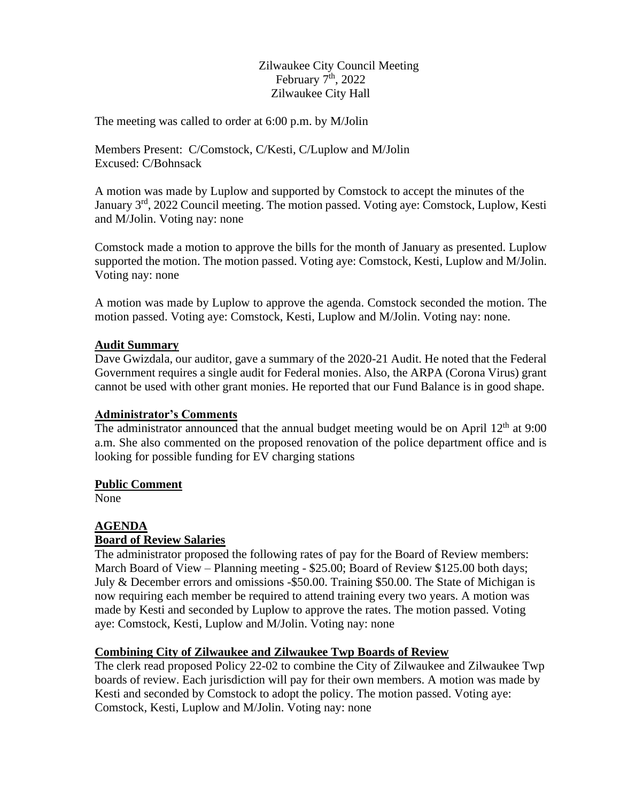Zilwaukee City Council Meeting February  $7<sup>th</sup>$ , 2022 Zilwaukee City Hall

The meeting was called to order at 6:00 p.m. by M/Jolin

Members Present: C/Comstock, C/Kesti, C/Luplow and M/Jolin Excused: C/Bohnsack

A motion was made by Luplow and supported by Comstock to accept the minutes of the January 3<sup>rd</sup>, 2022 Council meeting. The motion passed. Voting aye: Comstock, Luplow, Kesti and M/Jolin. Voting nay: none

Comstock made a motion to approve the bills for the month of January as presented. Luplow supported the motion. The motion passed. Voting aye: Comstock, Kesti, Luplow and M/Jolin. Voting nay: none

A motion was made by Luplow to approve the agenda. Comstock seconded the motion. The motion passed. Voting aye: Comstock, Kesti, Luplow and M/Jolin. Voting nay: none.

## **Audit Summary**

Dave Gwizdala, our auditor, gave a summary of the 2020-21 Audit. He noted that the Federal Government requires a single audit for Federal monies. Also, the ARPA (Corona Virus) grant cannot be used with other grant monies. He reported that our Fund Balance is in good shape.

#### **Administrator's Comments**

The administrator announced that the annual budget meeting would be on April  $12<sup>th</sup>$  at 9:00 a.m. She also commented on the proposed renovation of the police department office and is looking for possible funding for EV charging stations

#### **Public Comment**

None

#### **AGENDA Board of Review Salaries**

The administrator proposed the following rates of pay for the Board of Review members: March Board of View – Planning meeting - \$25.00; Board of Review \$125.00 both days; July & December errors and omissions -\$50.00. Training \$50.00. The State of Michigan is now requiring each member be required to attend training every two years. A motion was made by Kesti and seconded by Luplow to approve the rates. The motion passed. Voting aye: Comstock, Kesti, Luplow and M/Jolin. Voting nay: none

# **Combining City of Zilwaukee and Zilwaukee Twp Boards of Review**

The clerk read proposed Policy 22-02 to combine the City of Zilwaukee and Zilwaukee Twp boards of review. Each jurisdiction will pay for their own members. A motion was made by Kesti and seconded by Comstock to adopt the policy. The motion passed. Voting aye: Comstock, Kesti, Luplow and M/Jolin. Voting nay: none